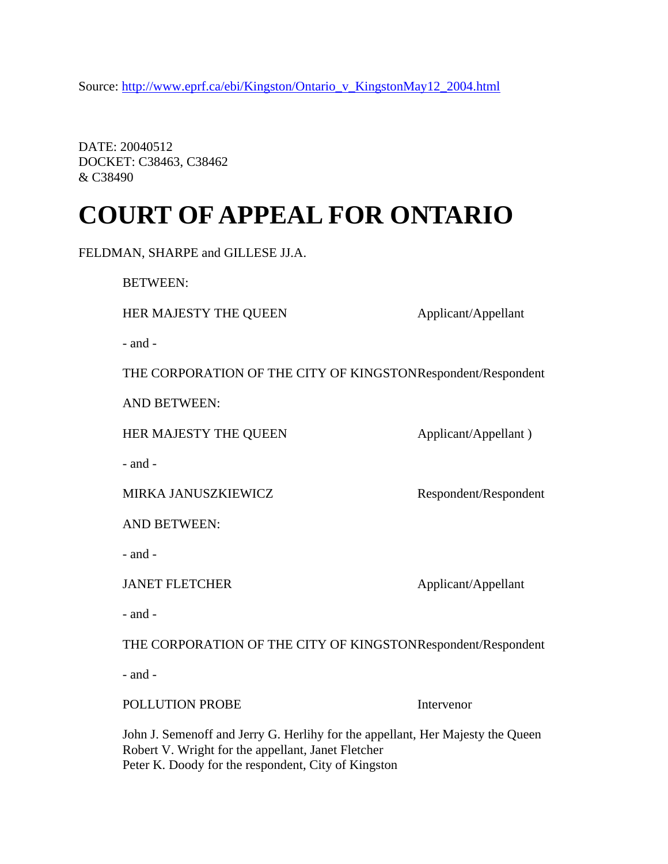Source: http://www.eprf.ca/ebi/Kingston/Ontario\_v\_KingstonMay12\_2004.html

DATE: 20040512 DOCKET: C38463, C38462 & C38490

# **COURT OF APPEAL FOR ONTARIO**

|  |  | FELDMAN, SHARPE and GILLESE JJ.A. |
|--|--|-----------------------------------|
|--|--|-----------------------------------|

BETWEEN:

HER MAJESTY THE QUEEN Applicant/Appellant

- and -

THE CORPORATION OF THE CITY OF KINGSTONRespondent/Respondent

AND BETWEEN:

HER MAJESTY THE QUEEN Applicant/Appellant )

- and -

MIRKA JANUSZKIEWICZ Respondent/Respondent

AND BETWEEN:

- and -

JANET FLETCHER Applicant/Appellant

- and -

THE CORPORATION OF THE CITY OF KINGSTON Respondent/Respondent

- and -

#### POLLUTION PROBE Intervenor

John J. Semenoff and Jerry G. Herlihy for the appellant, Her Majesty the Queen Robert V. Wright for the appellant, Janet Fletcher Peter K. Doody for the respondent, City of Kingston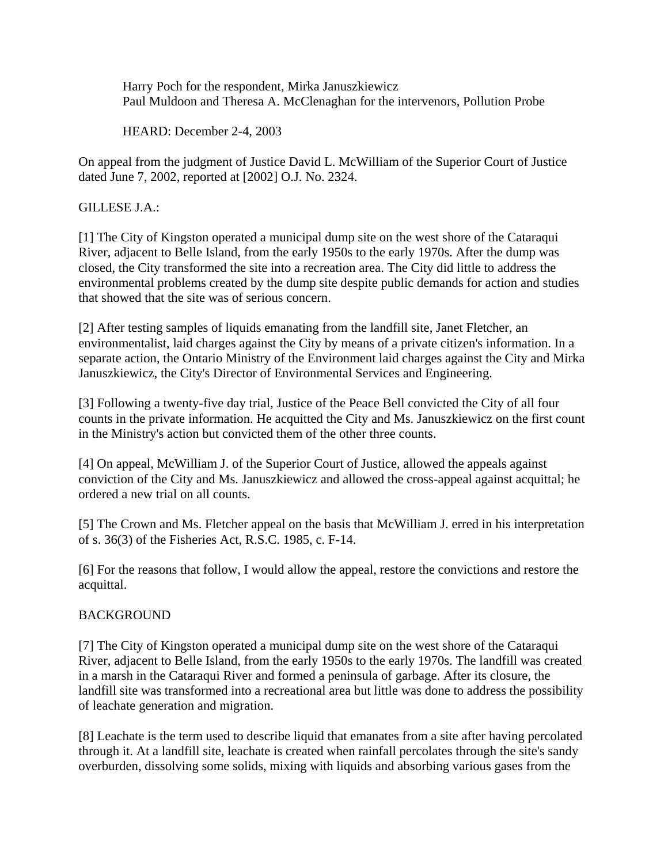Harry Poch for the respondent, Mirka Januszkiewicz Paul Muldoon and Theresa A. McClenaghan for the intervenors, Pollution Probe

HEARD: December 2-4, 2003

On appeal from the judgment of Justice David L. McWilliam of the Superior Court of Justice dated June 7, 2002, reported at [2002] O.J. No. 2324.

GILLESE J.A.:

[1] The City of Kingston operated a municipal dump site on the west shore of the Cataraqui River, adjacent to Belle Island, from the early 1950s to the early 1970s. After the dump was closed, the City transformed the site into a recreation area. The City did little to address the environmental problems created by the dump site despite public demands for action and studies that showed that the site was of serious concern.

[2] After testing samples of liquids emanating from the landfill site, Janet Fletcher, an environmentalist, laid charges against the City by means of a private citizen's information. In a separate action, the Ontario Ministry of the Environment laid charges against the City and Mirka Januszkiewicz, the City's Director of Environmental Services and Engineering.

[3] Following a twenty-five day trial, Justice of the Peace Bell convicted the City of all four counts in the private information. He acquitted the City and Ms. Januszkiewicz on the first count in the Ministry's action but convicted them of the other three counts.

[4] On appeal, McWilliam J. of the Superior Court of Justice, allowed the appeals against conviction of the City and Ms. Januszkiewicz and allowed the cross-appeal against acquittal; he ordered a new trial on all counts.

[5] The Crown and Ms. Fletcher appeal on the basis that McWilliam J. erred in his interpretation of s. 36(3) of the Fisheries Act, R.S.C. 1985, c. F-14.

[6] For the reasons that follow, I would allow the appeal, restore the convictions and restore the acquittal.

# BACKGROUND

[7] The City of Kingston operated a municipal dump site on the west shore of the Cataraqui River, adjacent to Belle Island, from the early 1950s to the early 1970s. The landfill was created in a marsh in the Cataraqui River and formed a peninsula of garbage. After its closure, the landfill site was transformed into a recreational area but little was done to address the possibility of leachate generation and migration.

[8] Leachate is the term used to describe liquid that emanates from a site after having percolated through it. At a landfill site, leachate is created when rainfall percolates through the site's sandy overburden, dissolving some solids, mixing with liquids and absorbing various gases from the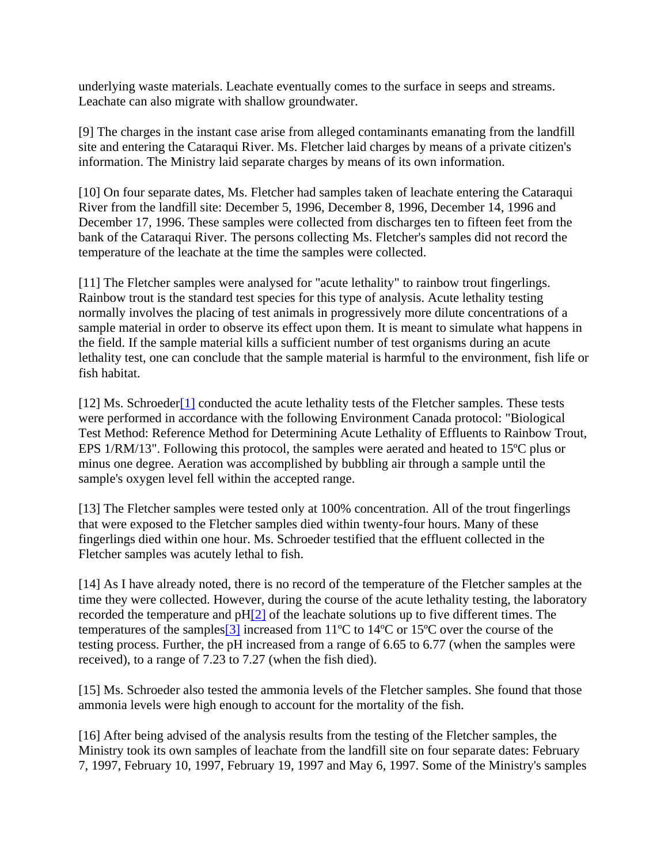underlying waste materials. Leachate eventually comes to the surface in seeps and streams. Leachate can also migrate with shallow groundwater.

[9] The charges in the instant case arise from alleged contaminants emanating from the landfill site and entering the Cataraqui River. Ms. Fletcher laid charges by means of a private citizen's information. The Ministry laid separate charges by means of its own information.

[10] On four separate dates, Ms. Fletcher had samples taken of leachate entering the Cataraqui River from the landfill site: December 5, 1996, December 8, 1996, December 14, 1996 and December 17, 1996. These samples were collected from discharges ten to fifteen feet from the bank of the Cataraqui River. The persons collecting Ms. Fletcher's samples did not record the temperature of the leachate at the time the samples were collected.

[11] The Fletcher samples were analysed for "acute lethality" to rainbow trout fingerlings. Rainbow trout is the standard test species for this type of analysis. Acute lethality testing normally involves the placing of test animals in progressively more dilute concentrations of a sample material in order to observe its effect upon them. It is meant to simulate what happens in the field. If the sample material kills a sufficient number of test organisms during an acute lethality test, one can conclude that the sample material is harmful to the environment, fish life or fish habitat.

[12] Ms. Schroeder<sup>[1]</sup> conducted the acute lethality tests of the Fletcher samples. These tests were performed in accordance with the following Environment Canada protocol: "Biological Test Method: Reference Method for Determining Acute Lethality of Effluents to Rainbow Trout, EPS 1/RM/13". Following this protocol, the samples were aerated and heated to 15ºC plus or minus one degree. Aeration was accomplished by bubbling air through a sample until the sample's oxygen level fell within the accepted range.

[13] The Fletcher samples were tested only at 100% concentration. All of the trout fingerlings that were exposed to the Fletcher samples died within twenty-four hours. Many of these fingerlings died within one hour. Ms. Schroeder testified that the effluent collected in the Fletcher samples was acutely lethal to fish.

[14] As I have already noted, there is no record of the temperature of the Fletcher samples at the time they were collected. However, during the course of the acute lethality testing, the laboratory recorded the temperature and  $pH[2]$  of the leachate solutions up to five different times. The temperatures of the samples[3] increased from 11ºC to 14ºC or 15ºC over the course of the testing process. Further, the pH increased from a range of 6.65 to 6.77 (when the samples were received), to a range of 7.23 to 7.27 (when the fish died).

[15] Ms. Schroeder also tested the ammonia levels of the Fletcher samples. She found that those ammonia levels were high enough to account for the mortality of the fish.

[16] After being advised of the analysis results from the testing of the Fletcher samples, the Ministry took its own samples of leachate from the landfill site on four separate dates: February 7, 1997, February 10, 1997, February 19, 1997 and May 6, 1997. Some of the Ministry's samples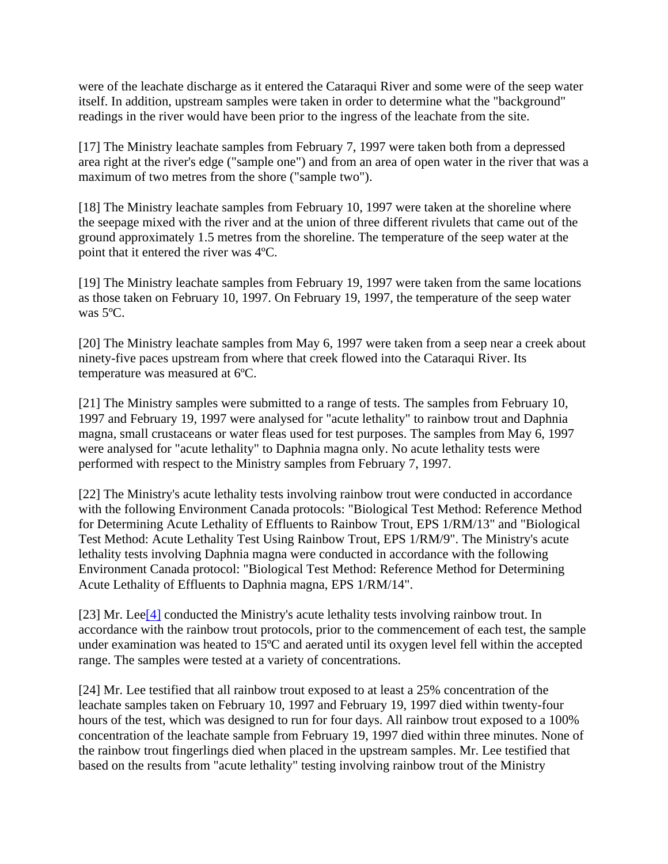were of the leachate discharge as it entered the Cataraqui River and some were of the seep water itself. In addition, upstream samples were taken in order to determine what the "background" readings in the river would have been prior to the ingress of the leachate from the site.

[17] The Ministry leachate samples from February 7, 1997 were taken both from a depressed area right at the river's edge ("sample one") and from an area of open water in the river that was a maximum of two metres from the shore ("sample two").

[18] The Ministry leachate samples from February 10, 1997 were taken at the shoreline where the seepage mixed with the river and at the union of three different rivulets that came out of the ground approximately 1.5 metres from the shoreline. The temperature of the seep water at the point that it entered the river was 4ºC.

[19] The Ministry leachate samples from February 19, 1997 were taken from the same locations as those taken on February 10, 1997. On February 19, 1997, the temperature of the seep water was 5ºC.

[20] The Ministry leachate samples from May 6, 1997 were taken from a seep near a creek about ninety-five paces upstream from where that creek flowed into the Cataraqui River. Its temperature was measured at 6ºC.

[21] The Ministry samples were submitted to a range of tests. The samples from February 10, 1997 and February 19, 1997 were analysed for "acute lethality" to rainbow trout and Daphnia magna, small crustaceans or water fleas used for test purposes. The samples from May 6, 1997 were analysed for "acute lethality" to Daphnia magna only. No acute lethality tests were performed with respect to the Ministry samples from February 7, 1997.

[22] The Ministry's acute lethality tests involving rainbow trout were conducted in accordance with the following Environment Canada protocols: "Biological Test Method: Reference Method for Determining Acute Lethality of Effluents to Rainbow Trout, EPS 1/RM/13" and "Biological Test Method: Acute Lethality Test Using Rainbow Trout, EPS 1/RM/9". The Ministry's acute lethality tests involving Daphnia magna were conducted in accordance with the following Environment Canada protocol: "Biological Test Method: Reference Method for Determining Acute Lethality of Effluents to Daphnia magna, EPS 1/RM/14".

[23] Mr. Lee<sup>[4]</sup> conducted the Ministry's acute lethality tests involving rainbow trout. In accordance with the rainbow trout protocols, prior to the commencement of each test, the sample under examination was heated to 15ºC and aerated until its oxygen level fell within the accepted range. The samples were tested at a variety of concentrations.

[24] Mr. Lee testified that all rainbow trout exposed to at least a 25% concentration of the leachate samples taken on February 10, 1997 and February 19, 1997 died within twenty-four hours of the test, which was designed to run for four days. All rainbow trout exposed to a 100% concentration of the leachate sample from February 19, 1997 died within three minutes. None of the rainbow trout fingerlings died when placed in the upstream samples. Mr. Lee testified that based on the results from "acute lethality" testing involving rainbow trout of the Ministry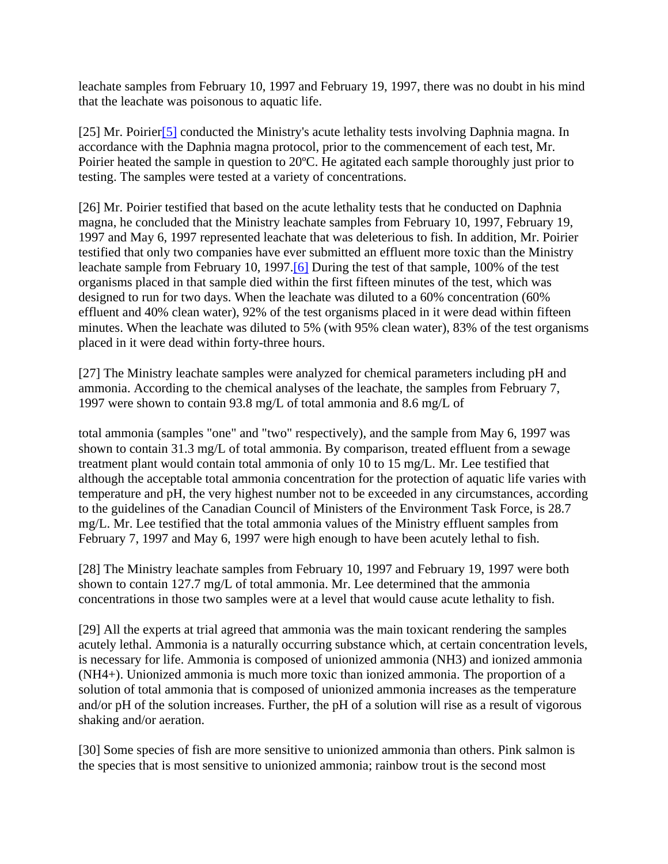leachate samples from February 10, 1997 and February 19, 1997, there was no doubt in his mind that the leachate was poisonous to aquatic life.

[25] Mr. Poirier<sup>[5]</sup> conducted the Ministry's acute lethality tests involving Daphnia magna. In accordance with the Daphnia magna protocol, prior to the commencement of each test, Mr. Poirier heated the sample in question to 20ºC. He agitated each sample thoroughly just prior to testing. The samples were tested at a variety of concentrations.

[26] Mr. Poirier testified that based on the acute lethality tests that he conducted on Daphnia magna, he concluded that the Ministry leachate samples from February 10, 1997, February 19, 1997 and May 6, 1997 represented leachate that was deleterious to fish. In addition, Mr. Poirier testified that only two companies have ever submitted an effluent more toxic than the Ministry leachate sample from February 10, 1997.[6] During the test of that sample, 100% of the test organisms placed in that sample died within the first fifteen minutes of the test, which was designed to run for two days. When the leachate was diluted to a 60% concentration (60% effluent and 40% clean water), 92% of the test organisms placed in it were dead within fifteen minutes. When the leachate was diluted to 5% (with 95% clean water), 83% of the test organisms placed in it were dead within forty-three hours.

[27] The Ministry leachate samples were analyzed for chemical parameters including pH and ammonia. According to the chemical analyses of the leachate, the samples from February 7, 1997 were shown to contain 93.8 mg/L of total ammonia and 8.6 mg/L of

total ammonia (samples "one" and "two" respectively), and the sample from May 6, 1997 was shown to contain 31.3 mg/L of total ammonia. By comparison, treated effluent from a sewage treatment plant would contain total ammonia of only 10 to 15 mg/L. Mr. Lee testified that although the acceptable total ammonia concentration for the protection of aquatic life varies with temperature and pH, the very highest number not to be exceeded in any circumstances, according to the guidelines of the Canadian Council of Ministers of the Environment Task Force, is 28.7 mg/L. Mr. Lee testified that the total ammonia values of the Ministry effluent samples from February 7, 1997 and May 6, 1997 were high enough to have been acutely lethal to fish.

[28] The Ministry leachate samples from February 10, 1997 and February 19, 1997 were both shown to contain 127.7 mg/L of total ammonia. Mr. Lee determined that the ammonia concentrations in those two samples were at a level that would cause acute lethality to fish.

[29] All the experts at trial agreed that ammonia was the main toxicant rendering the samples acutely lethal. Ammonia is a naturally occurring substance which, at certain concentration levels, is necessary for life. Ammonia is composed of unionized ammonia (NH3) and ionized ammonia (NH4+). Unionized ammonia is much more toxic than ionized ammonia. The proportion of a solution of total ammonia that is composed of unionized ammonia increases as the temperature and/or pH of the solution increases. Further, the pH of a solution will rise as a result of vigorous shaking and/or aeration.

[30] Some species of fish are more sensitive to unionized ammonia than others. Pink salmon is the species that is most sensitive to unionized ammonia; rainbow trout is the second most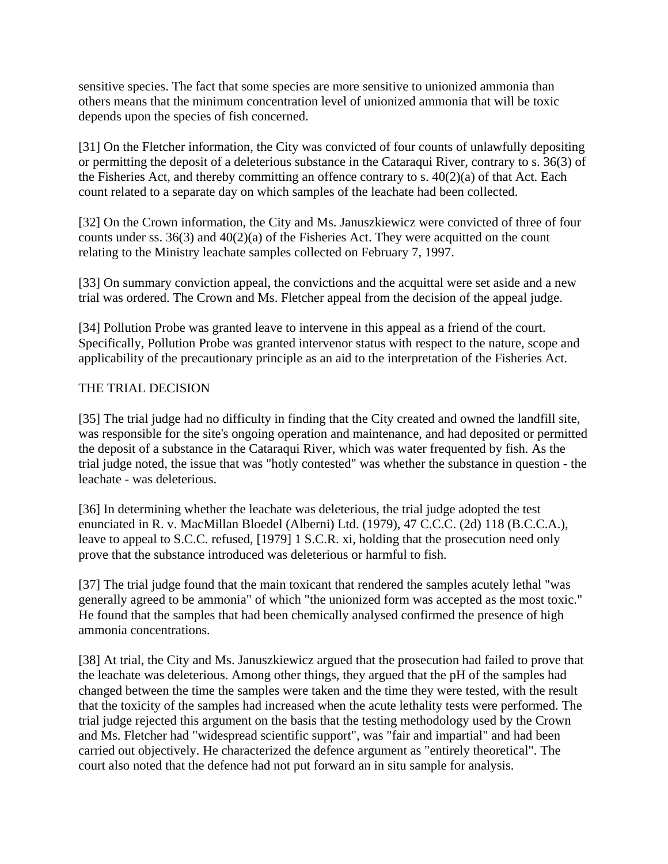sensitive species. The fact that some species are more sensitive to unionized ammonia than others means that the minimum concentration level of unionized ammonia that will be toxic depends upon the species of fish concerned.

[31] On the Fletcher information, the City was convicted of four counts of unlawfully depositing or permitting the deposit of a deleterious substance in the Cataraqui River, contrary to s. 36(3) of the Fisheries Act, and thereby committing an offence contrary to s.  $40(2)(a)$  of that Act. Each count related to a separate day on which samples of the leachate had been collected.

[32] On the Crown information, the City and Ms. Januszkiewicz were convicted of three of four counts under ss.  $36(3)$  and  $40(2)(a)$  of the Fisheries Act. They were acquitted on the count relating to the Ministry leachate samples collected on February 7, 1997.

[33] On summary conviction appeal, the convictions and the acquittal were set aside and a new trial was ordered. The Crown and Ms. Fletcher appeal from the decision of the appeal judge.

[34] Pollution Probe was granted leave to intervene in this appeal as a friend of the court. Specifically, Pollution Probe was granted intervenor status with respect to the nature, scope and applicability of the precautionary principle as an aid to the interpretation of the Fisheries Act.

## THE TRIAL DECISION

[35] The trial judge had no difficulty in finding that the City created and owned the landfill site, was responsible for the site's ongoing operation and maintenance, and had deposited or permitted the deposit of a substance in the Cataraqui River, which was water frequented by fish. As the trial judge noted, the issue that was "hotly contested" was whether the substance in question - the leachate - was deleterious.

[36] In determining whether the leachate was deleterious, the trial judge adopted the test enunciated in R. v. MacMillan Bloedel (Alberni) Ltd. (1979), 47 C.C.C. (2d) 118 (B.C.C.A.), leave to appeal to S.C.C. refused, [1979] 1 S.C.R. xi, holding that the prosecution need only prove that the substance introduced was deleterious or harmful to fish.

[37] The trial judge found that the main toxicant that rendered the samples acutely lethal "was generally agreed to be ammonia" of which "the unionized form was accepted as the most toxic." He found that the samples that had been chemically analysed confirmed the presence of high ammonia concentrations.

[38] At trial, the City and Ms. Januszkiewicz argued that the prosecution had failed to prove that the leachate was deleterious. Among other things, they argued that the pH of the samples had changed between the time the samples were taken and the time they were tested, with the result that the toxicity of the samples had increased when the acute lethality tests were performed. The trial judge rejected this argument on the basis that the testing methodology used by the Crown and Ms. Fletcher had "widespread scientific support", was "fair and impartial" and had been carried out objectively. He characterized the defence argument as "entirely theoretical". The court also noted that the defence had not put forward an in situ sample for analysis.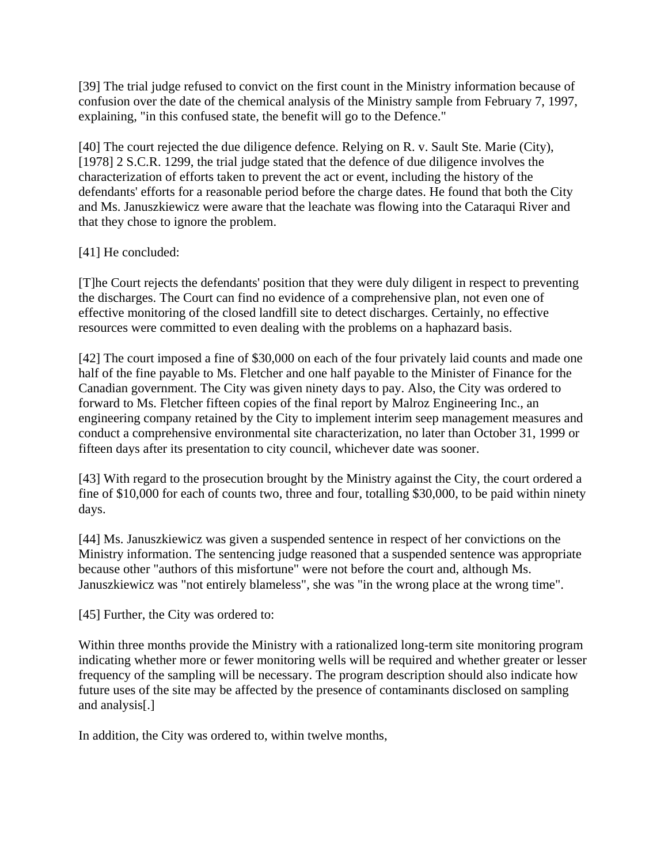[39] The trial judge refused to convict on the first count in the Ministry information because of confusion over the date of the chemical analysis of the Ministry sample from February 7, 1997, explaining, "in this confused state, the benefit will go to the Defence."

[40] The court rejected the due diligence defence. Relying on R. v. Sault Ste. Marie (City), [1978] 2 S.C.R. 1299, the trial judge stated that the defence of due diligence involves the characterization of efforts taken to prevent the act or event, including the history of the defendants' efforts for a reasonable period before the charge dates. He found that both the City and Ms. Januszkiewicz were aware that the leachate was flowing into the Cataraqui River and that they chose to ignore the problem.

# [41] He concluded:

[T]he Court rejects the defendants' position that they were duly diligent in respect to preventing the discharges. The Court can find no evidence of a comprehensive plan, not even one of effective monitoring of the closed landfill site to detect discharges. Certainly, no effective resources were committed to even dealing with the problems on a haphazard basis.

[42] The court imposed a fine of \$30,000 on each of the four privately laid counts and made one half of the fine payable to Ms. Fletcher and one half payable to the Minister of Finance for the Canadian government. The City was given ninety days to pay. Also, the City was ordered to forward to Ms. Fletcher fifteen copies of the final report by Malroz Engineering Inc., an engineering company retained by the City to implement interim seep management measures and conduct a comprehensive environmental site characterization, no later than October 31, 1999 or fifteen days after its presentation to city council, whichever date was sooner.

[43] With regard to the prosecution brought by the Ministry against the City, the court ordered a fine of \$10,000 for each of counts two, three and four, totalling \$30,000, to be paid within ninety days.

[44] Ms. Januszkiewicz was given a suspended sentence in respect of her convictions on the Ministry information. The sentencing judge reasoned that a suspended sentence was appropriate because other "authors of this misfortune" were not before the court and, although Ms. Januszkiewicz was "not entirely blameless", she was "in the wrong place at the wrong time".

[45] Further, the City was ordered to:

Within three months provide the Ministry with a rationalized long-term site monitoring program indicating whether more or fewer monitoring wells will be required and whether greater or lesser frequency of the sampling will be necessary. The program description should also indicate how future uses of the site may be affected by the presence of contaminants disclosed on sampling and analysis[.]

In addition, the City was ordered to, within twelve months,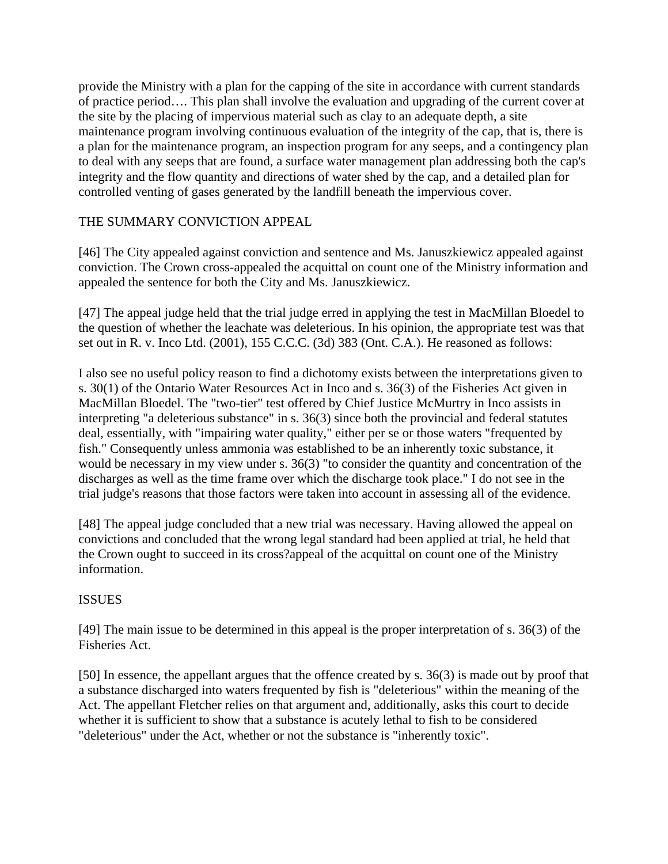provide the Ministry with a plan for the capping of the site in accordance with current standards of practice period…. This plan shall involve the evaluation and upgrading of the current cover at the site by the placing of impervious material such as clay to an adequate depth, a site maintenance program involving continuous evaluation of the integrity of the cap, that is, there is a plan for the maintenance program, an inspection program for any seeps, and a contingency plan to deal with any seeps that are found, a surface water management plan addressing both the cap's integrity and the flow quantity and directions of water shed by the cap, and a detailed plan for controlled venting of gases generated by the landfill beneath the impervious cover.

# THE SUMMARY CONVICTION APPEAL

[46] The City appealed against conviction and sentence and Ms. Januszkiewicz appealed against conviction. The Crown cross-appealed the acquittal on count one of the Ministry information and appealed the sentence for both the City and Ms. Januszkiewicz.

[47] The appeal judge held that the trial judge erred in applying the test in MacMillan Bloedel to the question of whether the leachate was deleterious. In his opinion, the appropriate test was that set out in R. v. Inco Ltd. (2001), 155 C.C.C. (3d) 383 (Ont. C.A.). He reasoned as follows:

I also see no useful policy reason to find a dichotomy exists between the interpretations given to s. 30(1) of the Ontario Water Resources Act in Inco and s. 36(3) of the Fisheries Act given in MacMillan Bloedel. The "two-tier" test offered by Chief Justice McMurtry in Inco assists in interpreting "a deleterious substance" in s. 36(3) since both the provincial and federal statutes deal, essentially, with "impairing water quality," either per se or those waters "frequented by fish." Consequently unless ammonia was established to be an inherently toxic substance, it would be necessary in my view under s. 36(3) "to consider the quantity and concentration of the discharges as well as the time frame over which the discharge took place." I do not see in the trial judge's reasons that those factors were taken into account in assessing all of the evidence.

[48] The appeal judge concluded that a new trial was necessary. Having allowed the appeal on convictions and concluded that the wrong legal standard had been applied at trial, he held that the Crown ought to succeed in its cross?appeal of the acquittal on count one of the Ministry information.

#### ISSUES

[49] The main issue to be determined in this appeal is the proper interpretation of s. 36(3) of the Fisheries Act.

[50] In essence, the appellant argues that the offence created by s. 36(3) is made out by proof that a substance discharged into waters frequented by fish is "deleterious" within the meaning of the Act. The appellant Fletcher relies on that argument and, additionally, asks this court to decide whether it is sufficient to show that a substance is acutely lethal to fish to be considered "deleterious" under the Act, whether or not the substance is "inherently toxic".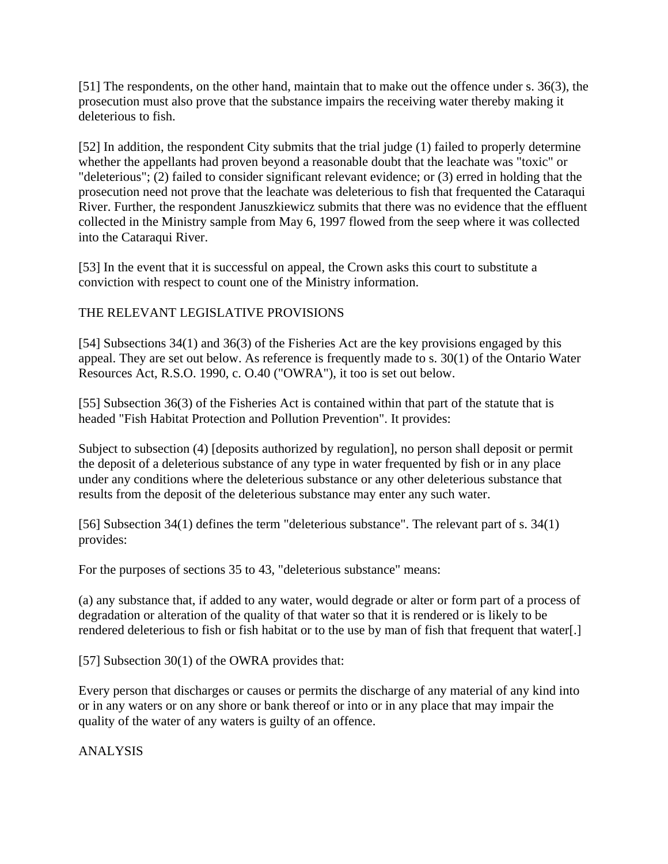[51] The respondents, on the other hand, maintain that to make out the offence under s. 36(3), the prosecution must also prove that the substance impairs the receiving water thereby making it deleterious to fish.

[52] In addition, the respondent City submits that the trial judge (1) failed to properly determine whether the appellants had proven beyond a reasonable doubt that the leachate was "toxic" or "deleterious"; (2) failed to consider significant relevant evidence; or (3) erred in holding that the prosecution need not prove that the leachate was deleterious to fish that frequented the Cataraqui River. Further, the respondent Januszkiewicz submits that there was no evidence that the effluent collected in the Ministry sample from May 6, 1997 flowed from the seep where it was collected into the Cataraqui River.

[53] In the event that it is successful on appeal, the Crown asks this court to substitute a conviction with respect to count one of the Ministry information.

# THE RELEVANT LEGISLATIVE PROVISIONS

[54] Subsections 34(1) and 36(3) of the Fisheries Act are the key provisions engaged by this appeal. They are set out below. As reference is frequently made to s. 30(1) of the Ontario Water Resources Act, R.S.O. 1990, c. O.40 ("OWRA"), it too is set out below.

[55] Subsection 36(3) of the Fisheries Act is contained within that part of the statute that is headed "Fish Habitat Protection and Pollution Prevention". It provides:

Subject to subsection (4) [deposits authorized by regulation], no person shall deposit or permit the deposit of a deleterious substance of any type in water frequented by fish or in any place under any conditions where the deleterious substance or any other deleterious substance that results from the deposit of the deleterious substance may enter any such water.

[56] Subsection 34(1) defines the term "deleterious substance". The relevant part of s. 34(1) provides:

For the purposes of sections 35 to 43, "deleterious substance" means:

(a) any substance that, if added to any water, would degrade or alter or form part of a process of degradation or alteration of the quality of that water so that it is rendered or is likely to be rendered deleterious to fish or fish habitat or to the use by man of fish that frequent that water[.]

[57] Subsection 30(1) of the OWRA provides that:

Every person that discharges or causes or permits the discharge of any material of any kind into or in any waters or on any shore or bank thereof or into or in any place that may impair the quality of the water of any waters is guilty of an offence.

ANALYSIS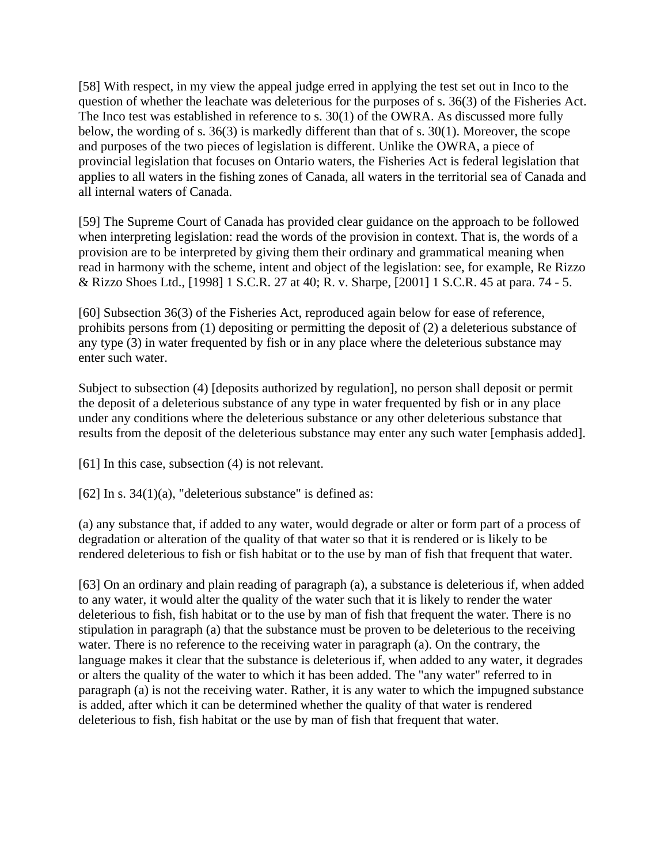[58] With respect, in my view the appeal judge erred in applying the test set out in Inco to the question of whether the leachate was deleterious for the purposes of s. 36(3) of the Fisheries Act. The Inco test was established in reference to s. 30(1) of the OWRA. As discussed more fully below, the wording of s. 36(3) is markedly different than that of s. 30(1). Moreover, the scope and purposes of the two pieces of legislation is different. Unlike the OWRA, a piece of provincial legislation that focuses on Ontario waters, the Fisheries Act is federal legislation that applies to all waters in the fishing zones of Canada, all waters in the territorial sea of Canada and all internal waters of Canada.

[59] The Supreme Court of Canada has provided clear guidance on the approach to be followed when interpreting legislation: read the words of the provision in context. That is, the words of a provision are to be interpreted by giving them their ordinary and grammatical meaning when read in harmony with the scheme, intent and object of the legislation: see, for example, Re Rizzo & Rizzo Shoes Ltd., [1998] 1 S.C.R. 27 at 40; R. v. Sharpe, [2001] 1 S.C.R. 45 at para. 74 - 5.

[60] Subsection 36(3) of the Fisheries Act, reproduced again below for ease of reference, prohibits persons from (1) depositing or permitting the deposit of (2) a deleterious substance of any type (3) in water frequented by fish or in any place where the deleterious substance may enter such water.

Subject to subsection (4) [deposits authorized by regulation], no person shall deposit or permit the deposit of a deleterious substance of any type in water frequented by fish or in any place under any conditions where the deleterious substance or any other deleterious substance that results from the deposit of the deleterious substance may enter any such water [emphasis added].

[61] In this case, subsection (4) is not relevant.

[62] In s.  $34(1)(a)$ , "deleterious substance" is defined as:

(a) any substance that, if added to any water, would degrade or alter or form part of a process of degradation or alteration of the quality of that water so that it is rendered or is likely to be rendered deleterious to fish or fish habitat or to the use by man of fish that frequent that water.

[63] On an ordinary and plain reading of paragraph (a), a substance is deleterious if, when added to any water, it would alter the quality of the water such that it is likely to render the water deleterious to fish, fish habitat or to the use by man of fish that frequent the water. There is no stipulation in paragraph (a) that the substance must be proven to be deleterious to the receiving water. There is no reference to the receiving water in paragraph (a). On the contrary, the language makes it clear that the substance is deleterious if, when added to any water, it degrades or alters the quality of the water to which it has been added. The "any water" referred to in paragraph (a) is not the receiving water. Rather, it is any water to which the impugned substance is added, after which it can be determined whether the quality of that water is rendered deleterious to fish, fish habitat or the use by man of fish that frequent that water.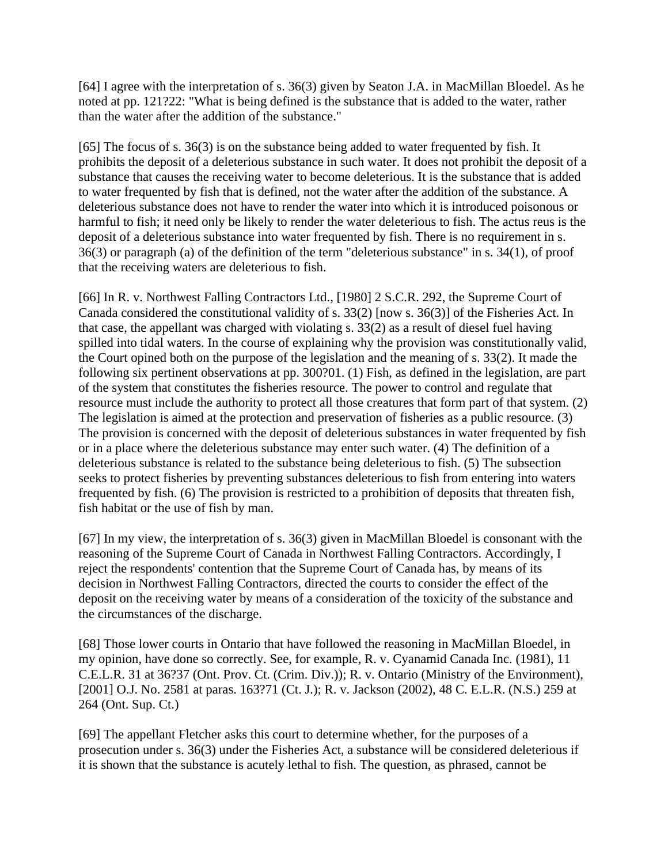[64] I agree with the interpretation of s. 36(3) given by Seaton J.A. in MacMillan Bloedel. As he noted at pp. 121?22: "What is being defined is the substance that is added to the water, rather than the water after the addition of the substance."

[65] The focus of s. 36(3) is on the substance being added to water frequented by fish. It prohibits the deposit of a deleterious substance in such water. It does not prohibit the deposit of a substance that causes the receiving water to become deleterious. It is the substance that is added to water frequented by fish that is defined, not the water after the addition of the substance. A deleterious substance does not have to render the water into which it is introduced poisonous or harmful to fish; it need only be likely to render the water deleterious to fish. The actus reus is the deposit of a deleterious substance into water frequented by fish. There is no requirement in s. 36(3) or paragraph (a) of the definition of the term "deleterious substance" in s. 34(1), of proof that the receiving waters are deleterious to fish.

[66] In R. v. Northwest Falling Contractors Ltd., [1980] 2 S.C.R. 292, the Supreme Court of Canada considered the constitutional validity of s. 33(2) [now s. 36(3)] of the Fisheries Act. In that case, the appellant was charged with violating s. 33(2) as a result of diesel fuel having spilled into tidal waters. In the course of explaining why the provision was constitutionally valid, the Court opined both on the purpose of the legislation and the meaning of s. 33(2). It made the following six pertinent observations at pp. 300?01. (1) Fish, as defined in the legislation, are part of the system that constitutes the fisheries resource. The power to control and regulate that resource must include the authority to protect all those creatures that form part of that system. (2) The legislation is aimed at the protection and preservation of fisheries as a public resource. (3) The provision is concerned with the deposit of deleterious substances in water frequented by fish or in a place where the deleterious substance may enter such water. (4) The definition of a deleterious substance is related to the substance being deleterious to fish. (5) The subsection seeks to protect fisheries by preventing substances deleterious to fish from entering into waters frequented by fish. (6) The provision is restricted to a prohibition of deposits that threaten fish, fish habitat or the use of fish by man.

[67] In my view, the interpretation of s. 36(3) given in MacMillan Bloedel is consonant with the reasoning of the Supreme Court of Canada in Northwest Falling Contractors. Accordingly, I reject the respondents' contention that the Supreme Court of Canada has, by means of its decision in Northwest Falling Contractors, directed the courts to consider the effect of the deposit on the receiving water by means of a consideration of the toxicity of the substance and the circumstances of the discharge.

[68] Those lower courts in Ontario that have followed the reasoning in MacMillan Bloedel, in my opinion, have done so correctly. See, for example, R. v. Cyanamid Canada Inc. (1981), 11 C.E.L.R. 31 at 36?37 (Ont. Prov. Ct. (Crim. Div.)); R. v. Ontario (Ministry of the Environment), [2001] O.J. No. 2581 at paras. 163?71 (Ct. J.); R. v. Jackson (2002), 48 C. E.L.R. (N.S.) 259 at 264 (Ont. Sup. Ct.)

[69] The appellant Fletcher asks this court to determine whether, for the purposes of a prosecution under s. 36(3) under the Fisheries Act, a substance will be considered deleterious if it is shown that the substance is acutely lethal to fish. The question, as phrased, cannot be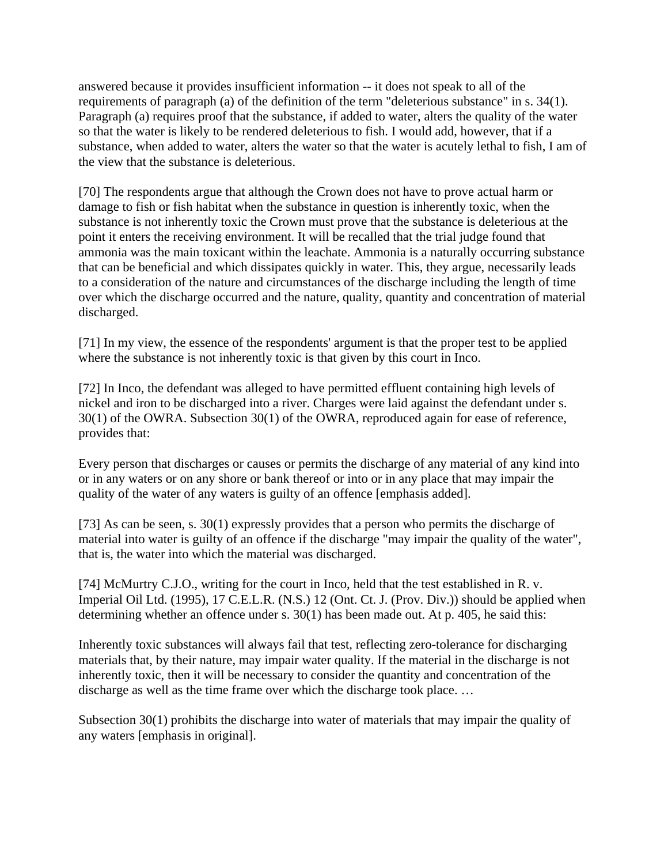answered because it provides insufficient information -- it does not speak to all of the requirements of paragraph (a) of the definition of the term "deleterious substance" in s. 34(1). Paragraph (a) requires proof that the substance, if added to water, alters the quality of the water so that the water is likely to be rendered deleterious to fish. I would add, however, that if a substance, when added to water, alters the water so that the water is acutely lethal to fish, I am of the view that the substance is deleterious.

[70] The respondents argue that although the Crown does not have to prove actual harm or damage to fish or fish habitat when the substance in question is inherently toxic, when the substance is not inherently toxic the Crown must prove that the substance is deleterious at the point it enters the receiving environment. It will be recalled that the trial judge found that ammonia was the main toxicant within the leachate. Ammonia is a naturally occurring substance that can be beneficial and which dissipates quickly in water. This, they argue, necessarily leads to a consideration of the nature and circumstances of the discharge including the length of time over which the discharge occurred and the nature, quality, quantity and concentration of material discharged.

[71] In my view, the essence of the respondents' argument is that the proper test to be applied where the substance is not inherently toxic is that given by this court in Inco.

[72] In Inco, the defendant was alleged to have permitted effluent containing high levels of nickel and iron to be discharged into a river. Charges were laid against the defendant under s. 30(1) of the OWRA. Subsection 30(1) of the OWRA, reproduced again for ease of reference, provides that:

Every person that discharges or causes or permits the discharge of any material of any kind into or in any waters or on any shore or bank thereof or into or in any place that may impair the quality of the water of any waters is guilty of an offence [emphasis added].

[73] As can be seen, s. 30(1) expressly provides that a person who permits the discharge of material into water is guilty of an offence if the discharge "may impair the quality of the water", that is, the water into which the material was discharged.

[74] McMurtry C.J.O., writing for the court in Inco, held that the test established in R. v. Imperial Oil Ltd. (1995), 17 C.E.L.R. (N.S.) 12 (Ont. Ct. J. (Prov. Div.)) should be applied when determining whether an offence under s. 30(1) has been made out. At p. 405, he said this:

Inherently toxic substances will always fail that test, reflecting zero-tolerance for discharging materials that, by their nature, may impair water quality. If the material in the discharge is not inherently toxic, then it will be necessary to consider the quantity and concentration of the discharge as well as the time frame over which the discharge took place. …

Subsection 30(1) prohibits the discharge into water of materials that may impair the quality of any waters [emphasis in original].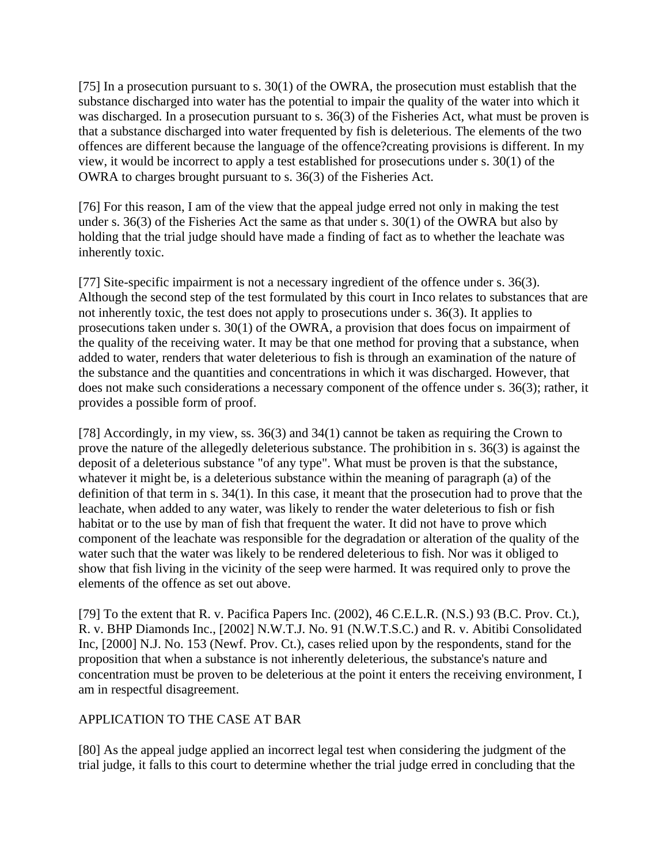[75] In a prosecution pursuant to s. 30(1) of the OWRA, the prosecution must establish that the substance discharged into water has the potential to impair the quality of the water into which it was discharged. In a prosecution pursuant to s. 36(3) of the Fisheries Act, what must be proven is that a substance discharged into water frequented by fish is deleterious. The elements of the two offences are different because the language of the offence?creating provisions is different. In my view, it would be incorrect to apply a test established for prosecutions under s. 30(1) of the OWRA to charges brought pursuant to s. 36(3) of the Fisheries Act.

[76] For this reason, I am of the view that the appeal judge erred not only in making the test under s. 36(3) of the Fisheries Act the same as that under s. 30(1) of the OWRA but also by holding that the trial judge should have made a finding of fact as to whether the leachate was inherently toxic.

[77] Site-specific impairment is not a necessary ingredient of the offence under s. 36(3). Although the second step of the test formulated by this court in Inco relates to substances that are not inherently toxic, the test does not apply to prosecutions under s. 36(3). It applies to prosecutions taken under s. 30(1) of the OWRA, a provision that does focus on impairment of the quality of the receiving water. It may be that one method for proving that a substance, when added to water, renders that water deleterious to fish is through an examination of the nature of the substance and the quantities and concentrations in which it was discharged. However, that does not make such considerations a necessary component of the offence under s. 36(3); rather, it provides a possible form of proof.

[78] Accordingly, in my view, ss. 36(3) and 34(1) cannot be taken as requiring the Crown to prove the nature of the allegedly deleterious substance. The prohibition in s. 36(3) is against the deposit of a deleterious substance "of any type". What must be proven is that the substance, whatever it might be, is a deleterious substance within the meaning of paragraph (a) of the definition of that term in s. 34(1). In this case, it meant that the prosecution had to prove that the leachate, when added to any water, was likely to render the water deleterious to fish or fish habitat or to the use by man of fish that frequent the water. It did not have to prove which component of the leachate was responsible for the degradation or alteration of the quality of the water such that the water was likely to be rendered deleterious to fish. Nor was it obliged to show that fish living in the vicinity of the seep were harmed. It was required only to prove the elements of the offence as set out above.

[79] To the extent that R. v. Pacifica Papers Inc. (2002), 46 C.E.L.R. (N.S.) 93 (B.C. Prov. Ct.), R. v. BHP Diamonds Inc., [2002] N.W.T.J. No. 91 (N.W.T.S.C.) and R. v. Abitibi Consolidated Inc, [2000] N.J. No. 153 (Newf. Prov. Ct.), cases relied upon by the respondents, stand for the proposition that when a substance is not inherently deleterious, the substance's nature and concentration must be proven to be deleterious at the point it enters the receiving environment, I am in respectful disagreement.

# APPLICATION TO THE CASE AT BAR

[80] As the appeal judge applied an incorrect legal test when considering the judgment of the trial judge, it falls to this court to determine whether the trial judge erred in concluding that the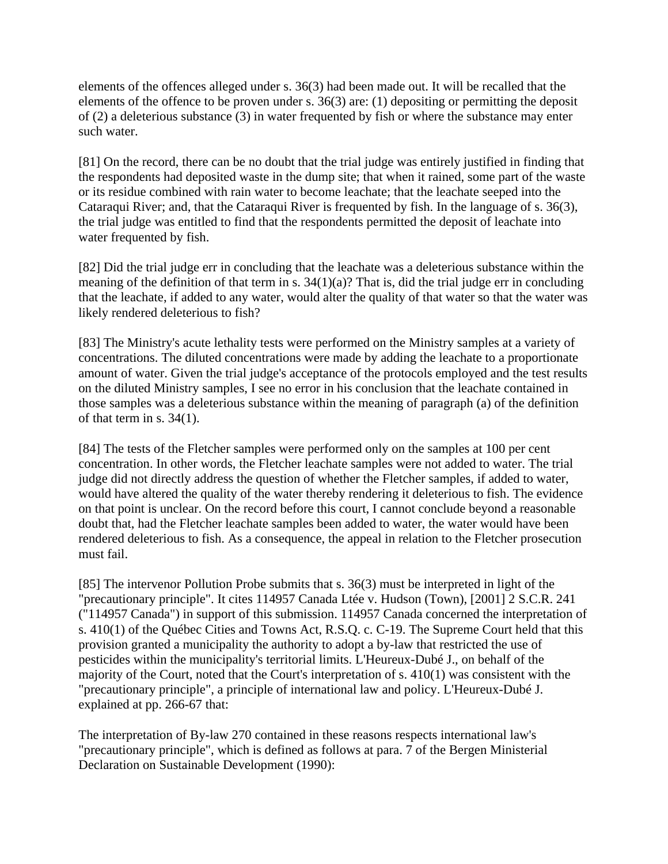elements of the offences alleged under s. 36(3) had been made out. It will be recalled that the elements of the offence to be proven under s. 36(3) are: (1) depositing or permitting the deposit of (2) a deleterious substance (3) in water frequented by fish or where the substance may enter such water.

[81] On the record, there can be no doubt that the trial judge was entirely justified in finding that the respondents had deposited waste in the dump site; that when it rained, some part of the waste or its residue combined with rain water to become leachate; that the leachate seeped into the Cataraqui River; and, that the Cataraqui River is frequented by fish. In the language of s. 36(3), the trial judge was entitled to find that the respondents permitted the deposit of leachate into water frequented by fish.

[82] Did the trial judge err in concluding that the leachate was a deleterious substance within the meaning of the definition of that term in s.  $34(1)(a)$ ? That is, did the trial judge err in concluding that the leachate, if added to any water, would alter the quality of that water so that the water was likely rendered deleterious to fish?

[83] The Ministry's acute lethality tests were performed on the Ministry samples at a variety of concentrations. The diluted concentrations were made by adding the leachate to a proportionate amount of water. Given the trial judge's acceptance of the protocols employed and the test results on the diluted Ministry samples, I see no error in his conclusion that the leachate contained in those samples was a deleterious substance within the meaning of paragraph (a) of the definition of that term in s. 34(1).

[84] The tests of the Fletcher samples were performed only on the samples at 100 per cent concentration. In other words, the Fletcher leachate samples were not added to water. The trial judge did not directly address the question of whether the Fletcher samples, if added to water, would have altered the quality of the water thereby rendering it deleterious to fish. The evidence on that point is unclear. On the record before this court, I cannot conclude beyond a reasonable doubt that, had the Fletcher leachate samples been added to water, the water would have been rendered deleterious to fish. As a consequence, the appeal in relation to the Fletcher prosecution must fail.

[85] The intervenor Pollution Probe submits that s. 36(3) must be interpreted in light of the "precautionary principle". It cites 114957 Canada Ltée v. Hudson (Town), [2001] 2 S.C.R. 241 ("114957 Canada") in support of this submission. 114957 Canada concerned the interpretation of s. 410(1) of the Québec Cities and Towns Act, R.S.Q. c. C-19. The Supreme Court held that this provision granted a municipality the authority to adopt a by-law that restricted the use of pesticides within the municipality's territorial limits. L'Heureux-Dubé J., on behalf of the majority of the Court, noted that the Court's interpretation of s. 410(1) was consistent with the "precautionary principle", a principle of international law and policy. L'Heureux-Dubé J. explained at pp. 266-67 that:

The interpretation of By-law 270 contained in these reasons respects international law's "precautionary principle", which is defined as follows at para. 7 of the Bergen Ministerial Declaration on Sustainable Development (1990):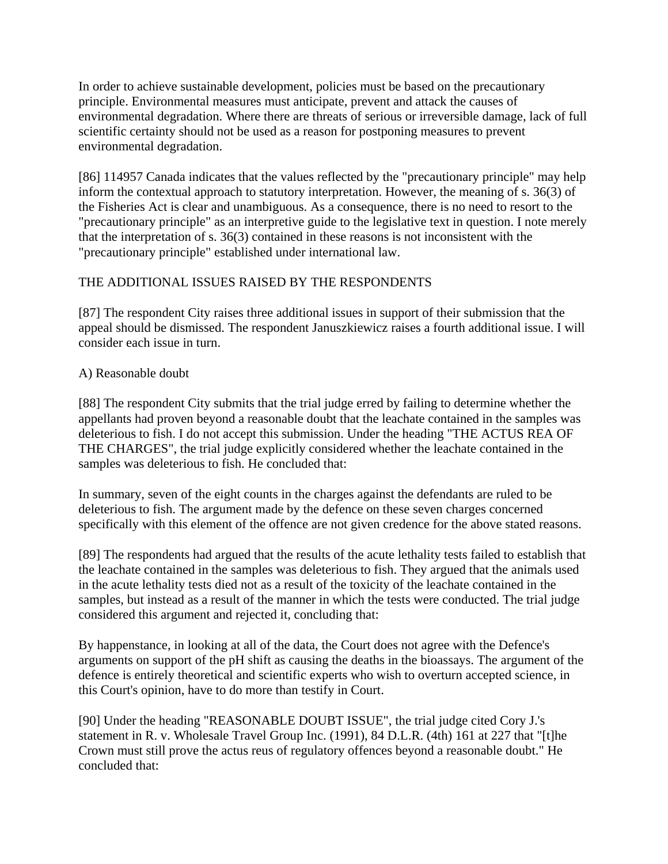In order to achieve sustainable development, policies must be based on the precautionary principle. Environmental measures must anticipate, prevent and attack the causes of environmental degradation. Where there are threats of serious or irreversible damage, lack of full scientific certainty should not be used as a reason for postponing measures to prevent environmental degradation.

[86] 114957 Canada indicates that the values reflected by the "precautionary principle" may help inform the contextual approach to statutory interpretation. However, the meaning of s. 36(3) of the Fisheries Act is clear and unambiguous. As a consequence, there is no need to resort to the "precautionary principle" as an interpretive guide to the legislative text in question. I note merely that the interpretation of s. 36(3) contained in these reasons is not inconsistent with the "precautionary principle" established under international law.

# THE ADDITIONAL ISSUES RAISED BY THE RESPONDENTS

[87] The respondent City raises three additional issues in support of their submission that the appeal should be dismissed. The respondent Januszkiewicz raises a fourth additional issue. I will consider each issue in turn.

# A) Reasonable doubt

[88] The respondent City submits that the trial judge erred by failing to determine whether the appellants had proven beyond a reasonable doubt that the leachate contained in the samples was deleterious to fish. I do not accept this submission. Under the heading "THE ACTUS REA OF THE CHARGES", the trial judge explicitly considered whether the leachate contained in the samples was deleterious to fish. He concluded that:

In summary, seven of the eight counts in the charges against the defendants are ruled to be deleterious to fish. The argument made by the defence on these seven charges concerned specifically with this element of the offence are not given credence for the above stated reasons.

[89] The respondents had argued that the results of the acute lethality tests failed to establish that the leachate contained in the samples was deleterious to fish. They argued that the animals used in the acute lethality tests died not as a result of the toxicity of the leachate contained in the samples, but instead as a result of the manner in which the tests were conducted. The trial judge considered this argument and rejected it, concluding that:

By happenstance, in looking at all of the data, the Court does not agree with the Defence's arguments on support of the pH shift as causing the deaths in the bioassays. The argument of the defence is entirely theoretical and scientific experts who wish to overturn accepted science, in this Court's opinion, have to do more than testify in Court.

[90] Under the heading "REASONABLE DOUBT ISSUE", the trial judge cited Cory J.'s statement in R. v. Wholesale Travel Group Inc. (1991), 84 D.L.R. (4th) 161 at 227 that "[t]he Crown must still prove the actus reus of regulatory offences beyond a reasonable doubt." He concluded that: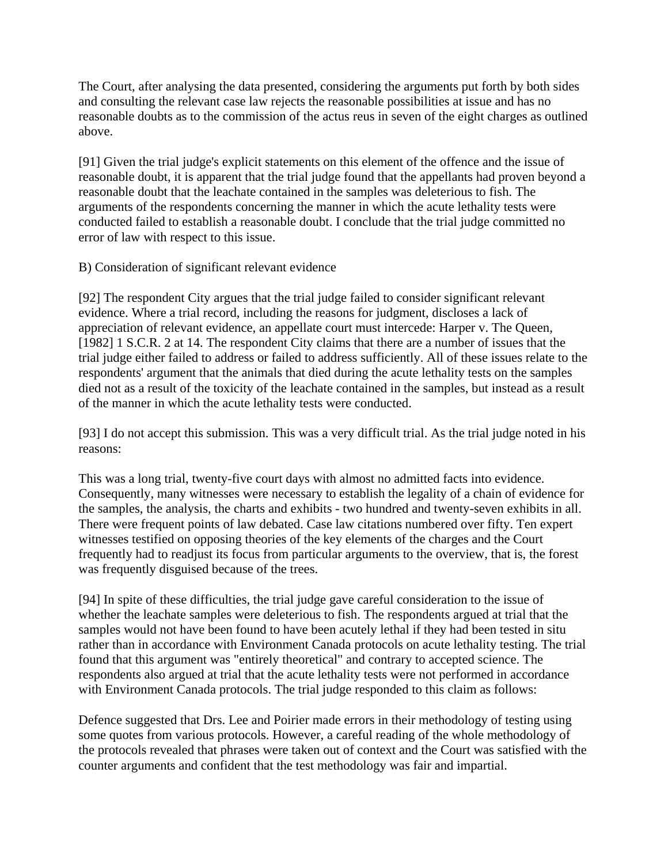The Court, after analysing the data presented, considering the arguments put forth by both sides and consulting the relevant case law rejects the reasonable possibilities at issue and has no reasonable doubts as to the commission of the actus reus in seven of the eight charges as outlined above.

[91] Given the trial judge's explicit statements on this element of the offence and the issue of reasonable doubt, it is apparent that the trial judge found that the appellants had proven beyond a reasonable doubt that the leachate contained in the samples was deleterious to fish. The arguments of the respondents concerning the manner in which the acute lethality tests were conducted failed to establish a reasonable doubt. I conclude that the trial judge committed no error of law with respect to this issue.

B) Consideration of significant relevant evidence

[92] The respondent City argues that the trial judge failed to consider significant relevant evidence. Where a trial record, including the reasons for judgment, discloses a lack of appreciation of relevant evidence, an appellate court must intercede: Harper v. The Queen, [1982] 1 S.C.R. 2 at 14. The respondent City claims that there are a number of issues that the trial judge either failed to address or failed to address sufficiently. All of these issues relate to the respondents' argument that the animals that died during the acute lethality tests on the samples died not as a result of the toxicity of the leachate contained in the samples, but instead as a result of the manner in which the acute lethality tests were conducted.

[93] I do not accept this submission. This was a very difficult trial. As the trial judge noted in his reasons:

This was a long trial, twenty-five court days with almost no admitted facts into evidence. Consequently, many witnesses were necessary to establish the legality of a chain of evidence for the samples, the analysis, the charts and exhibits - two hundred and twenty-seven exhibits in all. There were frequent points of law debated. Case law citations numbered over fifty. Ten expert witnesses testified on opposing theories of the key elements of the charges and the Court frequently had to readjust its focus from particular arguments to the overview, that is, the forest was frequently disguised because of the trees.

[94] In spite of these difficulties, the trial judge gave careful consideration to the issue of whether the leachate samples were deleterious to fish. The respondents argued at trial that the samples would not have been found to have been acutely lethal if they had been tested in situ rather than in accordance with Environment Canada protocols on acute lethality testing. The trial found that this argument was "entirely theoretical" and contrary to accepted science. The respondents also argued at trial that the acute lethality tests were not performed in accordance with Environment Canada protocols. The trial judge responded to this claim as follows:

Defence suggested that Drs. Lee and Poirier made errors in their methodology of testing using some quotes from various protocols. However, a careful reading of the whole methodology of the protocols revealed that phrases were taken out of context and the Court was satisfied with the counter arguments and confident that the test methodology was fair and impartial.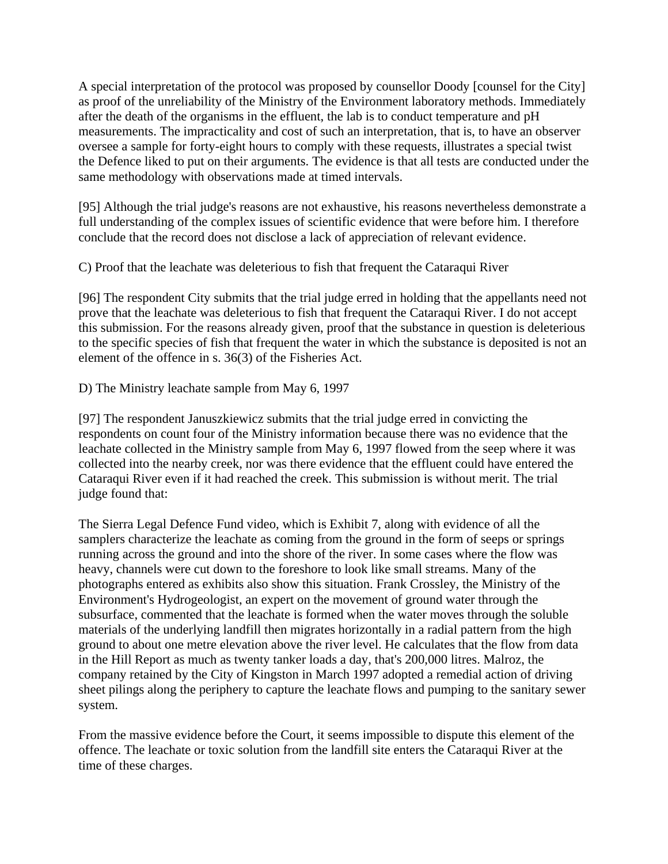A special interpretation of the protocol was proposed by counsellor Doody [counsel for the City] as proof of the unreliability of the Ministry of the Environment laboratory methods. Immediately after the death of the organisms in the effluent, the lab is to conduct temperature and pH measurements. The impracticality and cost of such an interpretation, that is, to have an observer oversee a sample for forty-eight hours to comply with these requests, illustrates a special twist the Defence liked to put on their arguments. The evidence is that all tests are conducted under the same methodology with observations made at timed intervals.

[95] Although the trial judge's reasons are not exhaustive, his reasons nevertheless demonstrate a full understanding of the complex issues of scientific evidence that were before him. I therefore conclude that the record does not disclose a lack of appreciation of relevant evidence.

C) Proof that the leachate was deleterious to fish that frequent the Cataraqui River

[96] The respondent City submits that the trial judge erred in holding that the appellants need not prove that the leachate was deleterious to fish that frequent the Cataraqui River. I do not accept this submission. For the reasons already given, proof that the substance in question is deleterious to the specific species of fish that frequent the water in which the substance is deposited is not an element of the offence in s. 36(3) of the Fisheries Act.

D) The Ministry leachate sample from May 6, 1997

[97] The respondent Januszkiewicz submits that the trial judge erred in convicting the respondents on count four of the Ministry information because there was no evidence that the leachate collected in the Ministry sample from May 6, 1997 flowed from the seep where it was collected into the nearby creek, nor was there evidence that the effluent could have entered the Cataraqui River even if it had reached the creek. This submission is without merit. The trial judge found that:

The Sierra Legal Defence Fund video, which is Exhibit 7, along with evidence of all the samplers characterize the leachate as coming from the ground in the form of seeps or springs running across the ground and into the shore of the river. In some cases where the flow was heavy, channels were cut down to the foreshore to look like small streams. Many of the photographs entered as exhibits also show this situation. Frank Crossley, the Ministry of the Environment's Hydrogeologist, an expert on the movement of ground water through the subsurface, commented that the leachate is formed when the water moves through the soluble materials of the underlying landfill then migrates horizontally in a radial pattern from the high ground to about one metre elevation above the river level. He calculates that the flow from data in the Hill Report as much as twenty tanker loads a day, that's 200,000 litres. Malroz, the company retained by the City of Kingston in March 1997 adopted a remedial action of driving sheet pilings along the periphery to capture the leachate flows and pumping to the sanitary sewer system.

From the massive evidence before the Court, it seems impossible to dispute this element of the offence. The leachate or toxic solution from the landfill site enters the Cataraqui River at the time of these charges.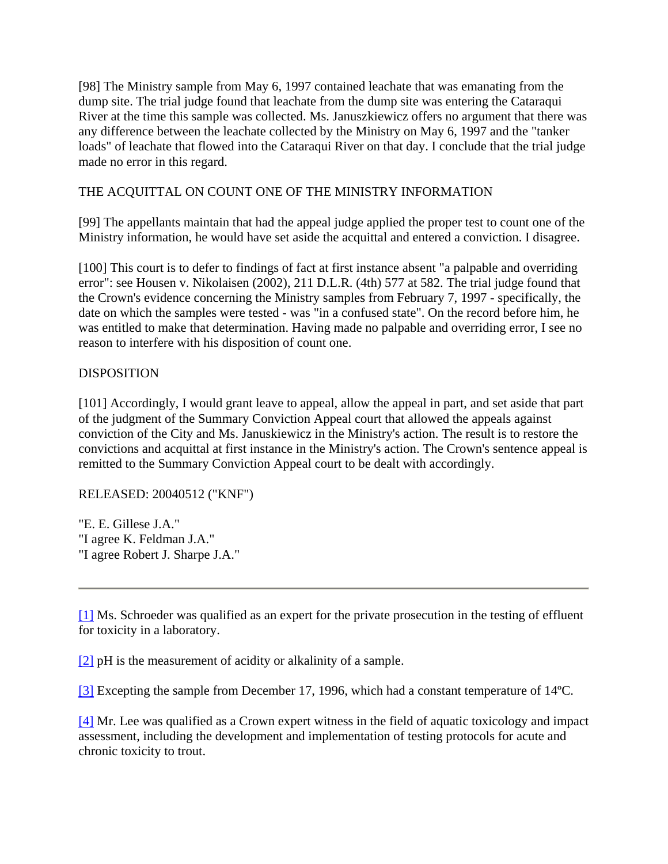[98] The Ministry sample from May 6, 1997 contained leachate that was emanating from the dump site. The trial judge found that leachate from the dump site was entering the Cataraqui River at the time this sample was collected. Ms. Januszkiewicz offers no argument that there was any difference between the leachate collected by the Ministry on May 6, 1997 and the "tanker loads" of leachate that flowed into the Cataraqui River on that day. I conclude that the trial judge made no error in this regard.

# THE ACQUITTAL ON COUNT ONE OF THE MINISTRY INFORMATION

[99] The appellants maintain that had the appeal judge applied the proper test to count one of the Ministry information, he would have set aside the acquittal and entered a conviction. I disagree.

[100] This court is to defer to findings of fact at first instance absent "a palpable and overriding error": see Housen v. Nikolaisen (2002), 211 D.L.R. (4th) 577 at 582. The trial judge found that the Crown's evidence concerning the Ministry samples from February 7, 1997 - specifically, the date on which the samples were tested - was "in a confused state". On the record before him, he was entitled to make that determination. Having made no palpable and overriding error, I see no reason to interfere with his disposition of count one.

## DISPOSITION

[101] Accordingly, I would grant leave to appeal, allow the appeal in part, and set aside that part of the judgment of the Summary Conviction Appeal court that allowed the appeals against conviction of the City and Ms. Januskiewicz in the Ministry's action. The result is to restore the convictions and acquittal at first instance in the Ministry's action. The Crown's sentence appeal is remitted to the Summary Conviction Appeal court to be dealt with accordingly.

#### RELEASED: 20040512 ("KNF")

"E. E. Gillese J.A." "I agree K. Feldman J.A." "I agree Robert J. Sharpe J.A."

[1] Ms. Schroeder was qualified as an expert for the private prosecution in the testing of effluent for toxicity in a laboratory.

[2] pH is the measurement of acidity or alkalinity of a sample.

[3] Excepting the sample from December 17, 1996, which had a constant temperature of 14ºC.

[4] Mr. Lee was qualified as a Crown expert witness in the field of aquatic toxicology and impact assessment, including the development and implementation of testing protocols for acute and chronic toxicity to trout.